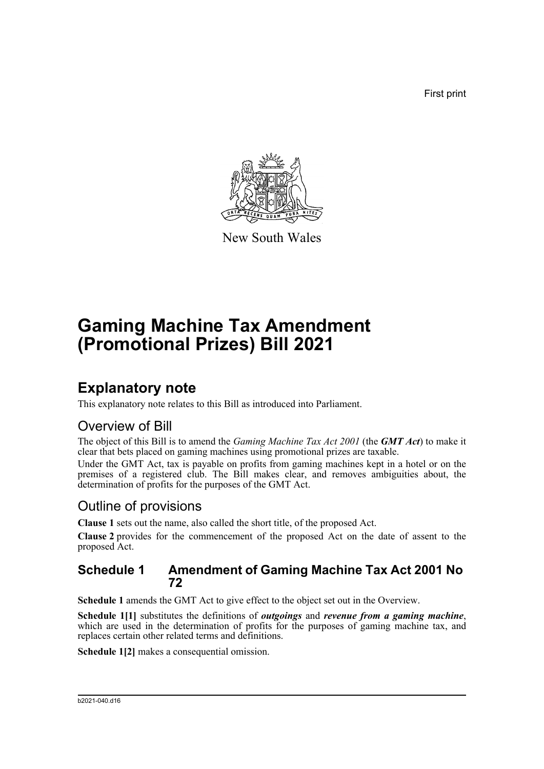First print



New South Wales

# **Gaming Machine Tax Amendment (Promotional Prizes) Bill 2021**

## **Explanatory note**

This explanatory note relates to this Bill as introduced into Parliament.

## Overview of Bill

The object of this Bill is to amend the *Gaming Machine Tax Act 2001* (the *GMT Act*) to make it clear that bets placed on gaming machines using promotional prizes are taxable.

Under the GMT Act, tax is payable on profits from gaming machines kept in a hotel or on the premises of a registered club. The Bill makes clear, and removes ambiguities about, the determination of profits for the purposes of the GMT Act.

## Outline of provisions

**Clause 1** sets out the name, also called the short title, of the proposed Act.

**Clause 2** provides for the commencement of the proposed Act on the date of assent to the proposed Act.

### **Schedule 1 Amendment of Gaming Machine Tax Act 2001 No 72**

**Schedule 1** amends the GMT Act to give effect to the object set out in the Overview.

**Schedule 1[1]** substitutes the definitions of *outgoings* and *revenue from a gaming machine*, which are used in the determination of profits for the purposes of gaming machine tax, and replaces certain other related terms and definitions.

**Schedule 1[2]** makes a consequential omission.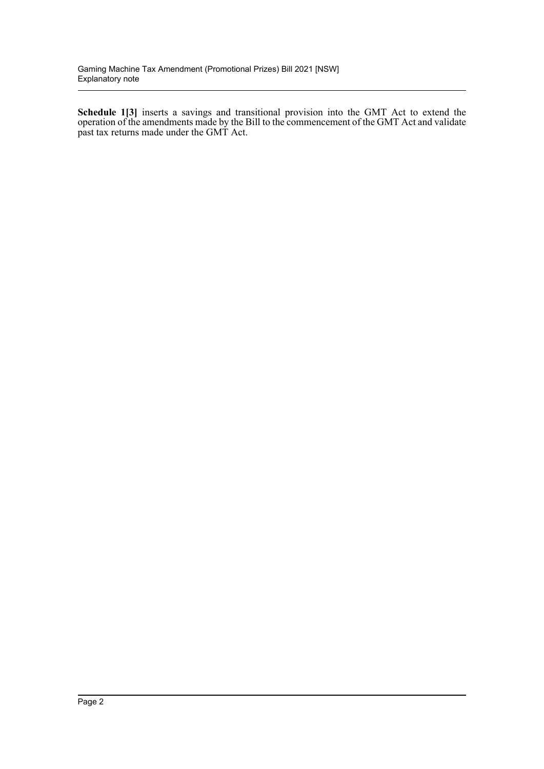**Schedule 1[3]** inserts a savings and transitional provision into the GMT Act to extend the operation of the amendments made by the Bill to the commencement of the GMT Act and validate past tax returns made under the GMT Act.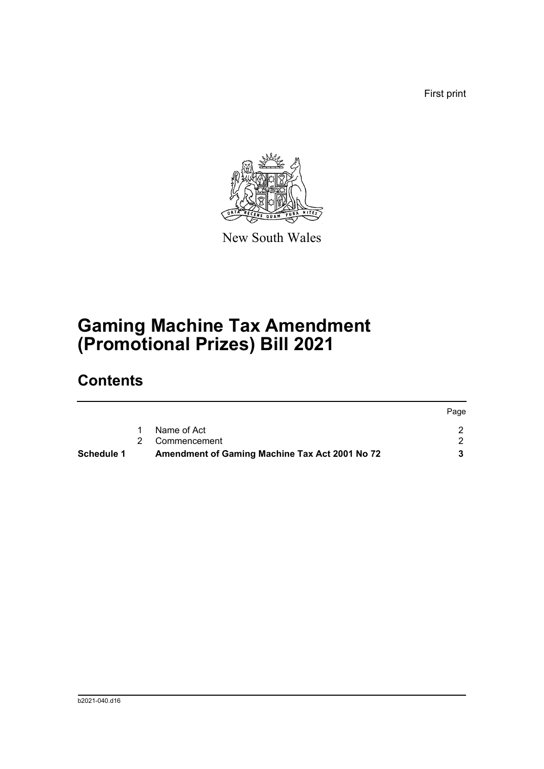First print



New South Wales

# **Gaming Machine Tax Amendment (Promotional Prizes) Bill 2021**

## **Contents**

| Schedule 1 | Amendment of Gaming Machine Tax Act 2001 No 72 |      |
|------------|------------------------------------------------|------|
|            | 2 Commencement                                 |      |
|            | Name of Act                                    |      |
|            |                                                | Page |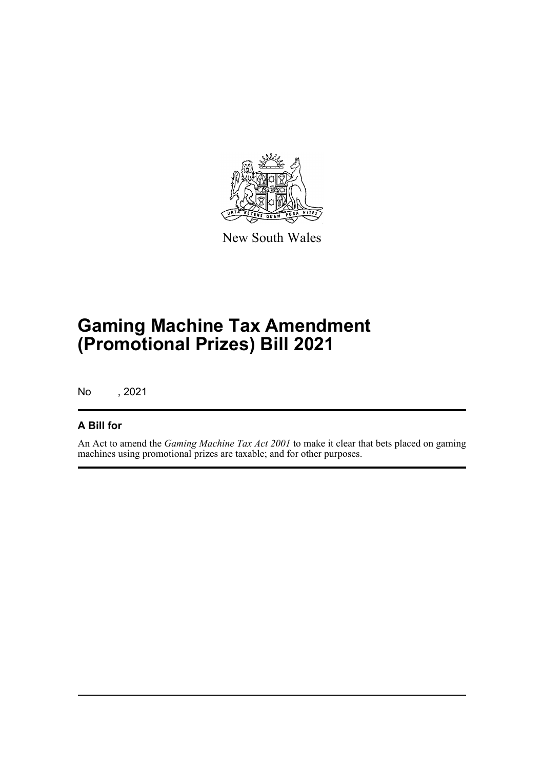

New South Wales

# **Gaming Machine Tax Amendment (Promotional Prizes) Bill 2021**

No , 2021

### **A Bill for**

An Act to amend the *Gaming Machine Tax Act 2001* to make it clear that bets placed on gaming machines using promotional prizes are taxable; and for other purposes.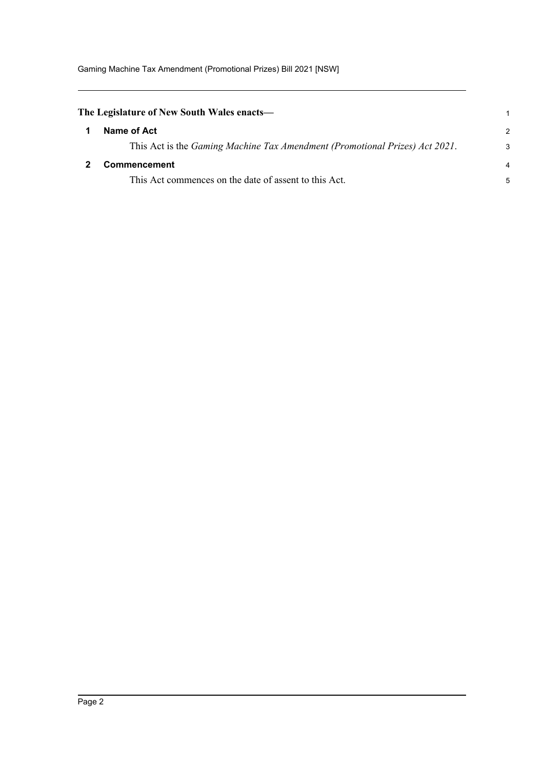<span id="page-4-1"></span><span id="page-4-0"></span>

| The Legislature of New South Wales enacts—                                  |               |
|-----------------------------------------------------------------------------|---------------|
| Name of Act                                                                 | $\mathcal{P}$ |
| This Act is the Gaming Machine Tax Amendment (Promotional Prizes) Act 2021. | 3             |
| <b>Commencement</b>                                                         | 4             |
| This Act commences on the date of assent to this Act.                       | 5             |
|                                                                             |               |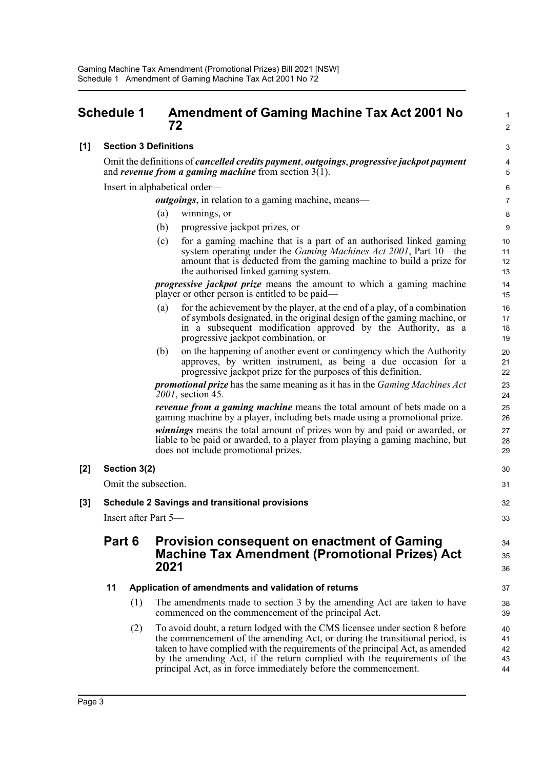### <span id="page-5-0"></span>**Schedule 1 Amendment of Gaming Machine Tax Act 2001 No 72**

#### **[1] Section 3 Definitions**

Omit the definitions of *cancelled credits payment*, *outgoings*, *progressive jackpot payment* and *revenue from a gaming machine* from section 3(1).

Insert in alphabetical order—

*outgoings*, in relation to a gaming machine, means—

- (a) winnings, or
- (b) progressive jackpot prizes, or
- (c) for a gaming machine that is a part of an authorised linked gaming system operating under the *Gaming Machines Act 2001*, Part 10—the amount that is deducted from the gaming machine to build a prize for the authorised linked gaming system.

1  $\mathfrak{p}$ 

34 35 36

*progressive jackpot prize* means the amount to which a gaming machine player or other person is entitled to be paid—

- (a) for the achievement by the player, at the end of a play, of a combination of symbols designated, in the original design of the gaming machine, or in a subsequent modification approved by the Authority, as a progressive jackpot combination, or
- (b) on the happening of another event or contingency which the Authority approves, by written instrument, as being a due occasion for a progressive jackpot prize for the purposes of this definition.

*promotional prize* has the same meaning as it has in the *Gaming Machines Act 2001*, section 45.

*revenue from a gaming machine* means the total amount of bets made on a gaming machine by a player, including bets made using a promotional prize.

*winnings* means the total amount of prizes won by and paid or awarded, or liable to be paid or awarded, to a player from playing a gaming machine, but does not include promotional prizes.

#### **[2] Section 3(2)**

Omit the subsection.

#### **[3] Schedule 2 Savings and transitional provisions**

Insert after Part 5—

### **Part 6 Provision consequent on enactment of Gaming Machine Tax Amendment (Promotional Prizes) Act 2021**

#### **11 Application of amendments and validation of returns**

- (1) The amendments made to section 3 by the amending Act are taken to have commenced on the commencement of the principal Act.
- (2) To avoid doubt, a return lodged with the CMS licensee under section 8 before the commencement of the amending Act, or during the transitional period, is taken to have complied with the requirements of the principal Act, as amended by the amending Act, if the return complied with the requirements of the principal Act, as in force immediately before the commencement.